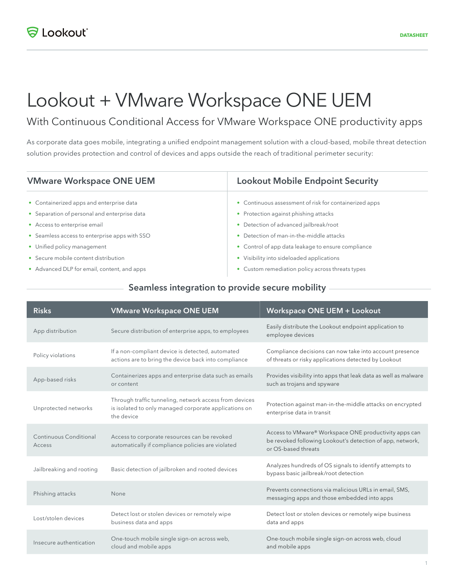# Lookout + VMware Workspace ONE UEM

## With Continuous Conditional Access for VMware Workspace ONE productivity apps

As corporate data goes mobile, integrating a unified endpoint management solution with a cloud-based, mobile threat detection solution provides protection and control of devices and apps outside the reach of traditional perimeter security:

| <b>VMware Workspace ONE UEM</b>               | <b>Lookout Mobile Endpoint Security</b>                |
|-----------------------------------------------|--------------------------------------------------------|
| • Containerized apps and enterprise data      | • Continuous assessment of risk for containerized apps |
| • Separation of personal and enterprise data  | • Protection against phishing attacks                  |
| • Access to enterprise email                  | • Detection of advanced jailbreak/root                 |
| • Seamless access to enterprise apps with SSO | Detection of man-in-the-middle attacks                 |
| • Unified policy management                   | • Control of app data leakage to ensure compliance     |
| • Secure mobile content distribution          | • Visibility into sideloaded applications              |
| • Advanced DLP for email, content, and apps   | • Custom remediation policy across threats types       |

#### Seamless integration to provide secure mobility

| <b>Risks</b>                     | <b>VMware Workspace ONE UEM</b>                                                                                               | <b>Workspace ONE UEM + Lookout</b>                                                                                                        |
|----------------------------------|-------------------------------------------------------------------------------------------------------------------------------|-------------------------------------------------------------------------------------------------------------------------------------------|
| App distribution                 | Secure distribution of enterprise apps, to employees                                                                          | Easily distribute the Lookout endpoint application to<br>employee devices                                                                 |
| Policy violations                | If a non-compliant device is detected, automated<br>actions are to bring the device back into compliance                      | Compliance decisions can now take into account presence<br>of threats or risky applications detected by Lookout                           |
| App-based risks                  | Containerizes apps and enterprise data such as emails<br>or content                                                           | Provides visibility into apps that leak data as well as malware<br>such as trojans and spyware                                            |
| Unprotected networks             | Through traffic tunneling, network access from devices<br>is isolated to only managed corporate applications on<br>the device | Protection against man-in-the-middle attacks on encrypted<br>enterprise data in transit                                                   |
| Continuous Conditional<br>Access | Access to corporate resources can be revoked<br>automatically if compliance policies are violated                             | Access to VMware® Workspace ONE productivity apps can<br>be revoked following Lookout's detection of app, network,<br>or OS-based threats |
| Jailbreaking and rooting         | Basic detection of jailbroken and rooted devices                                                                              | Analyzes hundreds of OS signals to identify attempts to<br>bypass basic jailbreak/root detection                                          |
| Phishing attacks                 | None                                                                                                                          | Prevents connections via malicious URLs in email, SMS,<br>messaging apps and those embedded into apps                                     |
| Lost/stolen devices              | Detect lost or stolen devices or remotely wipe<br>business data and apps                                                      | Detect lost or stolen devices or remotely wipe business<br>data and apps                                                                  |
| Insecure authentication          | One-touch mobile single sign-on across web,<br>cloud and mobile apps                                                          | One-touch mobile single sign-on across web, cloud<br>and mobile apps                                                                      |